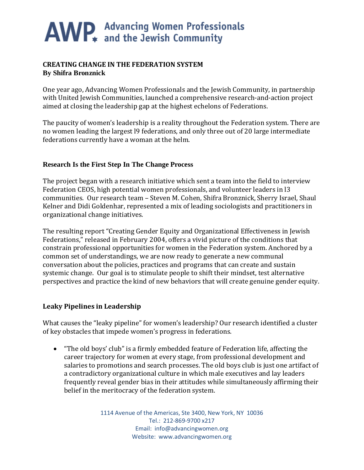### **CREATING CHANGE IN THE FEDERATION SYSTEM By Shifra Bronznick**

One year ago, Advancing Women Professionals and the Jewish Community, in partnership with United Jewish Communities, launched a comprehensive research-and-action project aimed at closing the leadership gap at the highest echelons of Federations.

The paucity of women's leadership is a reality throughout the Federation system. There are no women leading the largest l9 federations, and only three out of 20 large intermediate federations currently have a woman at the helm.

### **Research Is the First Step In The Change Process**

The project began with a research initiative which sent a team into the field to interview Federation CEOS, high potential women professionals, and volunteer leaders in l3 communities. Our research team – Steven M. Cohen, Shifra Bronznick, Sherry Israel, Shaul Kelner and Didi Goldenhar, represented a mix of leading sociologists and practitioners in organizational change initiatives.

The resulting report "Creating Gender Equity and Organizational Effectiveness in Jewish Federations," released in February 2004, offers a vivid picture of the conditions that constrain professional opportunities for women in the Federation system. Anchored by a common set of understandings, we are now ready to generate a new communal conversation about the policies, practices and programs that can create and sustain systemic change. Our goal is to stimulate people to shift their mindset, test alternative perspectives and practice the kind of new behaviors that will create genuine gender equity.

### **Leaky Pipelines in Leadership**

What causes the "leaky pipeline" for women's leadership? Our research identified a cluster of key obstacles that impede women's progress in federations.

• "The old boys' club" is a firmly embedded feature of Federation life, affecting the career trajectory for women at every stage, from professional development and salaries to promotions and search processes. The old boys club is just one artifact of a contradictory organizational culture in which male executives and lay leaders frequently reveal gender bias in their attitudes while simultaneously affirming their belief in the meritocracy of the federation system.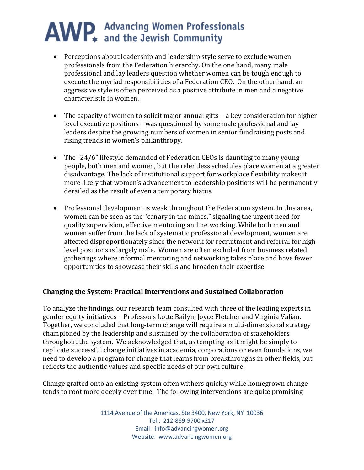- Perceptions about leadership and leadership style serve to exclude women professionals from the Federation hierarchy. On the one hand, many male professional and lay leaders question whether women can be tough enough to execute the myriad responsibilities of a Federation CEO. On the other hand, an aggressive style is often perceived as a positive attribute in men and a negative characteristic in women.
- The capacity of women to solicit major annual gifts—a key consideration for higher level executive positions – was questioned by some male professional and lay leaders despite the growing numbers of women in senior fundraising posts and rising trends in women's philanthropy.
- The "24/6" lifestyle demanded of Federation CEOs is daunting to many young people, both men and women, but the relentless schedules place women at a greater disadvantage. The lack of institutional support for workplace flexibility makes it more likely that women's advancement to leadership positions will be permanently derailed as the result of even a temporary hiatus.
- Professional development is weak throughout the Federation system. In this area, women can be seen as the "canary in the mines," signaling the urgent need for quality supervision, effective mentoring and networking. While both men and women suffer from the lack of systematic professional development, women are affected disproportionately since the network for recruitment and referral for highlevel positions is largely male. Women are often excluded from business related gatherings where informal mentoring and networking takes place and have fewer opportunities to showcase their skills and broaden their expertise.

#### **Changing the System: Practical Interventions and Sustained Collaboration**

To analyze the findings, our research team consulted with three of the leading experts in gender equity initiatives – Professors Lotte Bailyn, Joyce Fletcher and Virginia Valian. Together, we concluded that long-term change will require a multi-dimensional strategy championed by the leadership and sustained by the collaboration of stakeholders throughout the system. We acknowledged that, as tempting as it might be simply to replicate successful change initiatives in academia, corporations or even foundations, we need to develop a program for change that learns from breakthroughs in other fields, but reflects the authentic values and specific needs of our own culture.

Change grafted onto an existing system often withers quickly while homegrown change tends to root more deeply over time. The following interventions are quite promising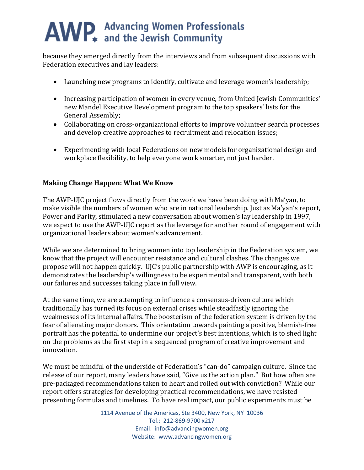because they emerged directly from the interviews and from subsequent discussions with Federation executives and lay leaders:

- Launching new programs to identify, cultivate and leverage women's leadership;
- Increasing participation of women in every venue, from United Jewish Communities' new Mandel Executive Development program to the top speakers' lists for the General Assembly;
- Collaborating on cross-organizational efforts to improve volunteer search processes and develop creative approaches to recruitment and relocation issues;
- Experimenting with local Federations on new models for organizational design and workplace flexibility, to help everyone work smarter, not just harder.

## **Making Change Happen: What We Know**

The AWP-UJC project flows directly from the work we have been doing with Ma'yan, to make visible the numbers of women who are in national leadership. Just as Ma'yan's report, Power and Parity, stimulated a new conversation about women's lay leadership in 1997, we expect to use the AWP-UJC report as the leverage for another round of engagement with organizational leaders about women's advancement.

While we are determined to bring women into top leadership in the Federation system, we know that the project will encounter resistance and cultural clashes. The changes we propose will not happen quickly. UJC's public partnership with AWP is encouraging, as it demonstrates the leadership's willingness to be experimental and transparent, with both our failures and successes taking place in full view.

At the same time, we are attempting to influence a consensus-driven culture which traditionally has turned its focus on external crises while steadfastly ignoring the weaknesses of its internal affairs. The boosterism of the federation system is driven by the fear of alienating major donors. This orientation towards painting a positive, blemish-free portrait has the potential to undermine our project's best intentions, which is to shed light on the problems as the first step in a sequenced program of creative improvement and innovation.

We must be mindful of the underside of Federation's "can-do" campaign culture. Since the release of our report, many leaders have said, "Give us the action plan." But how often are pre-packaged recommendations taken to heart and rolled out with conviction? While our report offers strategies for developing practical recommendations, we have resisted presenting formulas and timelines. To have real impact, our public experiments must be